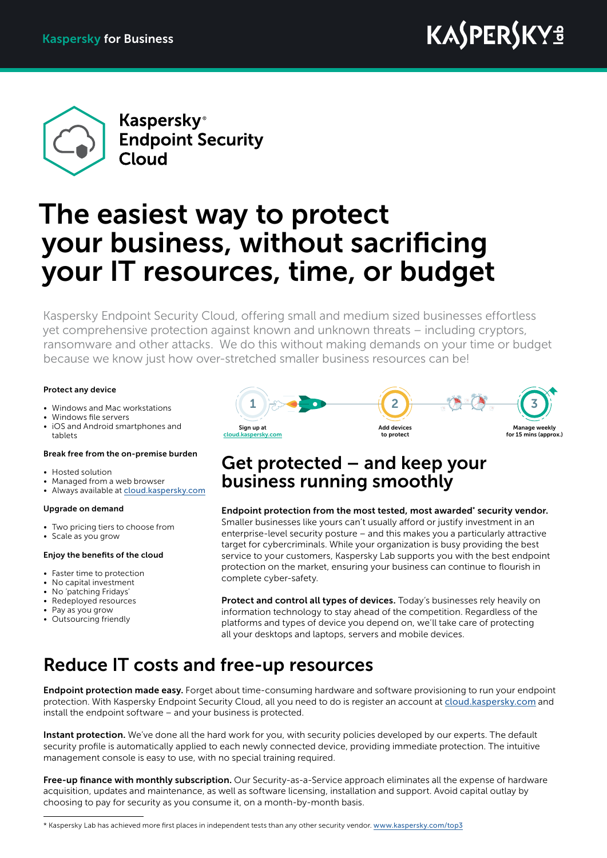

**Kaspersky**<sup>®</sup> **Endpoint Security** Cloud

# The easiest way to protect your business, without sacrificing your IT resources, time, or budget

Kaspersky Endpoint Security Cloud, offering small and medium sized businesses effortless yet comprehensive protection against known and unknown threats – including cryptors, ransomware and other attacks. We do this without making demands on your time or budget because we know just how over-stretched smaller business resources can be!

### Protect any device

- Windows and Mac workstations
- Windows file servers
- iOS and Android smartphones and tablets

### Break free from the on-premise burden

- Hosted solution
- Managed from a web browser
- Always available at [cloud.kaspersky.com](http://cloud.kaspersky.com)

### Upgrade on demand

- Two pricing tiers to choose from
- Scale as you grow

### Enjoy the benefits of the cloud

- Faster time to protection
- No capital investment
- No 'patching Fridays'
- Redeployed resources
- Pay as you grow
- Outsourcing friendly



### Get protected – and keep your business running smoothly

Endpoint protection from the most tested, most awarded\* security vendor. Smaller businesses like yours can't usually afford or justify investment in an enterprise-level security posture – and this makes you a particularly attractive target for cybercriminals. While your organization is busy providing the best service to your customers, Kaspersky Lab supports you with the best endpoint protection on the market, ensuring your business can continue to flourish in complete cyber-safety.

Protect and control all types of devices. Today's businesses rely heavily on information technology to stay ahead of the competition. Regardless of the platforms and types of device you depend on, we'll take care of protecting all your desktops and laptops, servers and mobile devices.

# Reduce IT costs and free-up resources

Endpoint protection made easy. Forget about time-consuming hardware and software provisioning to run your endpoint protection. With Kaspersky Endpoint Security Cloud, all you need to do is register an account at [cloud.kaspersky.com](http://cloud.kaspersky.com) and install the endpoint software – and your business is protected.

Instant protection. We've done all the hard work for you, with security policies developed by our experts. The default security profile is automatically applied to each newly connected device, providing immediate protection. The intuitive management console is easy to use, with no special training required.

Free-up finance with monthly subscription. Our Security-as-a-Service approach eliminates all the expense of hardware acquisition, updates and maintenance, as well as software licensing, installation and support. Avoid capital outlay by choosing to pay for security as you consume it, on a month-by-month basis.

\* Kaspersky Lab has achieved more first places in independent tests than any other security vendor. [www.kaspersky.com/top3](http://www.kaspersky.com/top3)